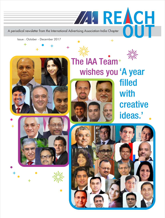A periodical newsletter from the International Advertising Association-India Chapter

 $\ddotplus$ 

Issue : October - December 2017

 $+$ 





 $\div$ 

The IAA Team<sup>+</sup> wishes you 'A year

**ZAIREACH** 

 $+$ 



filled with creative ideas.'

**OUT** 

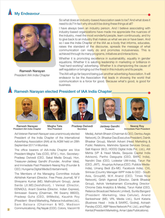# My Endeavour



Ramesh Narayan President IAA India Chapter

So what does an industry-based Association seek to be? And what does it need to do? In fact why should it be doing these things at all?

I have always been an industry person. And I believe associating with industry-based organizations have made me appreciate the nuances of the industry, meet the most wonderful people, learn continuously, and try to give back to an industry that makes us what we are or have been. And so I see the India Chapter of the IAA as a body that informs, educates, raises the standard of the discourse, spreads the message of what communication can really do and promotes inclusiveness. This is achieved through its many programs, initiatives and interactions.

Whether it is promoting excellence in sustainability, equality in gender equations. Whether it is saluting leadership in marketing or brilliance in "real hard-working" advertising. Whether it is championing the cause of self regulation or bringing out the finest in this industry and its people.

The IAA will go far beyond being just another advertising Association. It will endeavor to be the Association that leads in showing the world that communication is a force for good. Because what's good, is good for business.

### Ramesh Narayan elected President of IAA India Chapter



Ramesh Narayan President IAA India Chapter



Megha Tata Vice President



Pradeep Dwivedi **Secretary** 



Jaideep Gandhi Treasurer

Neeraj Roy

Immediate Past President

Ad Veteran Ramesh Narayan was unanimously elected President of the India Chapter of the International Advertising Association (IAA) at its AGM held on 28th September 2017 in Mumbai.

The office bearers of IAA-India Chapter are Vice President-Megha Tata (COO, BTVI ), Hon. Secretary-Pradeep Dwivedi (CEO, Sakal Media Group), Hon. Treasurer-Jaideep Gandhi (Founder, Another Idea), and Immediate Past President-Neeraj Roy (Founder & CEO, Hungama Digital Media Entertainment).

The Members of the Managing Committee include Abhishek Karnani (Director, Free Press Journal), M V Shreyams Kumar (MD, Mathrubhumi Group), Janak Sarda (Jt.MD,Deshdhoot), I Venkat (Director, EENADU), Anant Goenka (Director, Indian Express), Srinivasan Swamy (Chairman, RK Swamy BBDO), Pradeep Guha (CEO, 9XMedia), Kaushik Roy (President - Brand Marketing, Reliance Industries Ltd.), Sam Balsara (Chairman & MD, Madison Communications), Raj Nayak (COO, Colors, Viacom18 Media), Ashish Bhasin (Chairman & CEO, Dentsu Aegis Network), Dr. Bhaskar Das (Executive President, Dainik Bhaskar Group), Manish Advani (Head Marketing & Public Relations, Mahindra Special Services Group), Salil Kapoor (M.D, HOOQ Digital India Pvt. Ltd.), Atit Mehta (VP & Head Media, Sequoia Capital India Advisors), Partho Dasgupta (CEO, BARC India), Nandini Dias (CEO, Lodestar UM-India), Tarun Rai (CEO, JWT), Anupriya Acharya (CEO, Publicis Media-India), Umang Bedi (Ex-MD, Facebook India), CVL Srinivas (Country Manager-WPP India & CEO - South Asia, GroupM), M.K Anand (CEO, Times Now Network), Girish Agarwal (Director, Dainik Bhaskar Group), Ashok Venkatramani (Consulting Director-Chrome Data Analytics & Media), Tarun Katial (CEO, Reliance Broadcast Network Limited), Sunita Bangard (President -Marketing, Idea Cellular), Anand Sankeshwar (MD, VRL Media Ltd.), Sunil Kataria (Business Head - India & SAARC, Godrej), Avinash Pandey (COO, ABP News Network Pvt. Ltd.), and Rajiv Kental (President Marketing, Amar Ujala Publications).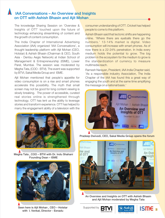### IAA Conversations – An Overview and Insights on OTT with Ashish Bhasin and Ajit Mohan

The knowledge Sharing Session on 'Overview & Insights of OTT' touched upon the future of technology enhancing streamlining of content and the growth of content consumption.

The India Chapter of International Advertising Association (IAA) organized 'IAA Conversations', a thought leadership platform with Ajit Mohan (CEO, Hotstar) & Ashish Bhasin (Chairman & CEO, South Asia - Dentsu Aegis Network) at Indian School of Management & Entrepreneurship (ISME), Lower Parel, Mumbai. The session was moderated by Megha Tata, (COO - BTVI). The event was supported by BTVI, Sakal Media Group and ISME.

Ajit Mohan mentioned that people's appetite for video consumption is on a rise and smart phones accelerate this possibility. The myth that small screen may not be good for long content viewing is slowly breaking. The power of accessible, curated real stories online is strengthened through technology. OTT has lent us the ability to leverage stories and transform experience. OTT has helped to marry the engagement ability of a television with the



Megha Tata , COO – BTVI with Dr. Indu Shahani Founding Dean – ISME



Seen here is Ajit Mohan , CEO – Hotstar with I. Venkat, Director - Eenadu

consumer understanding of OTT. Cricket has helped people to come to this platform.

Ashish Bhasin said that tectonic shifts are happening online. 'Where there are eyeballs there go the numbers.' 13-14% market is digital. Video consumption will increase with smart phones. As of now there is a 22-24% penetration. In India every medium holds the potential to grow. The big problem in the ecosystem for the medium to grow is the standardization of currency to measure multimedia reach.

Ramesh Narayan, President, IAA India Chapter said, 'As a responsible industry Association, The India Chapter of the IAA has found this a great way of engaging the youth and at the same time amplifying the message on a national basis.'



Pradeep Dwivedi, CEO, Sakal Media Group opens the forum



An Overview and Insights on OTT with Ashish Bhasin and Ajit Mohan moderated by Megha Tata





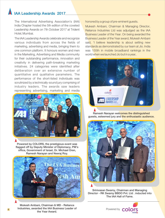# IAA Leadership Awards 2017

The International Advertising Association's (IAA) India Chapter hosted the 5th edition of the coveted Leadership Awards on 7th October 2017 at Trident Hotel, Mumbai.

The IAA Leadership Awards celebrate and recognize various individuals from across the fields of marketing, advertising and media, bringing them to one common platform. It honours women and men in the Marketing, Advertising and Media community for their outstanding performance, innovation and creativity in delivering path-breaking marketing initiatives. 24 categories were identified after deliberation over an extensive number of quantitative and qualitative parameters. The performance of the short-listed individuals was scrutinized by a technically-sound jury comprising of industry leaders. The awards saw leaders representing advertising, marketing and media



Powered by COLORS, the prestigious event was flagged off by Deputy Minister of Diplomacy, PM's office, Government of Israel, Dr. Michael Oren, Ramesh Narayan and Neeraj Roy.



Mukesh Ambani, Chairman & MD - Reliance **4** Industries, awarded the IAA Business Leader of **All Powered by** Powered by the Year Award.

honored by a group of pre-eminent guests.

Mukesh Ambani, Chairman & Managing Director, Reliance Industries Ltd was adjudged as the IAA Business Leader of the Year. On being awarded the Business Leader of the Year award, Mukesh Ambani said, 'I believe leadership is about setting new standards as demonstrated by our team at Jio. India was 155th in mobile broadband rankings in the world when we launched Jio but in a year,



Ramesh Narayan welcomes the distinguished guests, esteemed jury and the enthusiastic audience.



Srinivasan Swamy, Chairman and Managing Director - RK Swamy BBDO Pvt. Ltd . inducted into The IAA Hall of Fame.

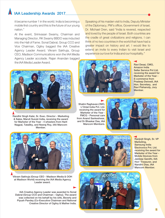# IAA Leadership Awards 2017

it became number 1 in the world. India is becoming a mobile first country and this is the future of our young nation."

At the event, Srinivasan Swamy, Chairman and Managing Director, RK Swamy BBDO was inducted into the Hall of Fame. Sonal Dabral, Group CCO and Vice Chairman, Ogilvy bagged the IAA Creative Agency Leader Award. Vikram Sakhuja, Group CEO, Madison Communications won the IAA Media Agency Leader accolade. Rajan Anandan bagged the IAA Media Leader Award.

Speaking of his maiden visit to India, Deputy Minister of the Diplomacy, PM's office, Government of Israel, Dr. Michael Oren, said "India is revered, respected and loved by the people of Israel. Both countries are the cradle of great civilizations and religions. I can think of no two countries in the world that have had a greater impact on history and art. I would like to extend an invite to every Indian to visit Israel and experience our love for India and our hospitality."



Randhir Singh Kalsi, Sr. Exec. Director - Marketing & Sales, Maruti Suzuki India, receiving the award for Marketer of the Year - 4 wheelers from Harit Nagpal, TataSky, and Neeraj Roy, IAA Mancom Member.



Ravi Desai, CMO, Amazon India Seller Service Pvt Ltd. receiving the award for Marketer of the Year - E-commerce from Pradeep Dwivedi, IAA Hon. Secretary, and Ravi Pisharody, Jury Member.

Shalini Raghavan,CMO, L'Oréal India Pvt. Ltd. receiving the award for Marketer of the Year - FMCG - Personal care from Anand Sankeshwar, and Dr Bhaskar Das, IAA Mancom Members.





Vikram Sakhuja (Group CEO - Madison Media & OOH at Madison World) receiving the IAA Media Agency Leader award.

IAA Creative Agency Leader was awarded to Sonal Dabral (Group CCO and Chairman - Ogilvy). The award was collected on his behalf by his wife, Beverly and Piyush Pandey (Co-Executive Chairman and National Creative Director of Ogilvy & Mather India.





Ranjivjit Singh, Sr. VP Marketing, Samsung India Electronics Pvt. Ltd. receiving the award for Marketer of the Year - Mobile Devices from Jaideep Gandhi, IAA Hon' Treasurer, and Nandini Dias, IAA Mancom Member.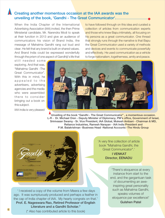### Creating another momentous occasion at the IAA awards was the unveiling of the book, 'Gandhi - The Great Communicator'.

When the India Chapter of the International Advertising Association (IAA) invited, the then Prime Ministerial candidate, Mr. Narendra Modi to speak at their function in 2013 and give an audience of communicators his vision of Brand India, the message of Mahatma Gandhi rang out loud and clear. He felt that any brand is built on shared values. And Brand India could be expressed wonderfully through the prism of one aspect of Gandhiji's life that to have followed through on this idea and curated a collection of articles from communication experts and those who knew Bapu intimately, all focusing on his persona as a great communicator. One thread that strongly runs through the narrative is that Bapu the Great Communicator used a variety of methods and devices and events to communicate powerfully and effectively. He used communication as a vehicle to forge nationalism, togetherness, amity and peace.

still needed some exploring. And that was, "Mahatma Gandhi -The Great Communicator". With this in mind, he appealed to the advertisers, advertising agencies and the media who were assembled there to consider bringing out a book on this subject.

IAA India is very pleased



Unveiling of the book "Gandhi - The Great Communicator", a momentous occasion. L-R - Dr. Michael Oren - Deputy Minister of Diplomacy, PM's office, Government of Israel, Srinivasan Swamy - Sr. Vice President, IAA Global, Mukesh Ambani - Chairman & MD, Reliance Industries, Ramesh Narayan - IAA India President and P.M. Balakrishnan -Business Head -National Accounts -The Hindu Group



 ' I received a copy of the volume from Meera a few days ago. It was sumptuously produced and perhaps a feather in the cap of India chapter of IAA. My hearty congrats on that.' Prof. E. Nageswara Rao, Retired Professor of English

Literature and a Gandhi Scholar.\*

'A very fine collection of article book "Mahatma Gandhi, the Great Communicator".' I VENKAT Director, EENADU

> 'There's eloquence at every instance from start to the end, and the gargantuan task of documenting an aweinspiring great personality such as Mahatma Gandhi, speaks volumes of eloquence par excellence!' Gulshen Patel

(\* Also has contributed article to this book) <sup>6</sup>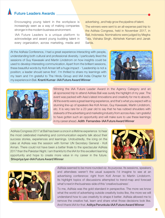# Future Leaders Awards

Encouraging young talent in the workplace is increasingly seen as a way of making companies stronger in the modern business environment.

IAA Future Leaders is a unique platform to acknowledge and award young budding talent in every organization, across marketing, media and advertising , and help grow the pipeline of talent.

The winners were sent to an all-expense paid trip to the AdAsia Congress, held in November 2017, in Bali, Indonesia. Nominations were judged by Megha Tata, Vishaka Singh, Abhishek Karnani and Janak Sarda.

At the AdAsia Conference, I had a great experience interacting with people, understanding both cultural and professional diversity. I particularly liked the sessions of Guy Kawasaki and Martin Lindstrom on how insights could be used to develop interesting communication. Apart from the brilliant sessions, these beautiful words by Kofi Annan left a huge impact - 'Leadership is not a position; a leader should serve first'. I'm thrilled to share my learnings with my team and I'm grateful to The Hindu Group and IAA India Chapter for my experience in Bali. Kranti Kumar- IAA Future Award Winner





Winning the IAA Future Leader Award in the Agency Category and an all-sponsored trip to attend AdAsia Bali was surely the highlight of my year. The event was packed with Asia's latest innovations and creativity for me to absorb. All the events were a great learning experience, and that's what you expect with a stunning line-up of speakers like Kofi Annan, Guy Kawasaki, Martin Lindstrom, etc. It is very rare for a 23 year old to say that he has rubbed shoulders with stalwarts of the advertising and marketing industry from across Asia. I am grateful to have gotten such an opportunity and will make sure to use these learnings in my career ahead. Adith Fernandes-IAA Future Award Winner

AdAsia Congress 2017 at Bali has been a once in a lifetime experience to hear the most celebrated marketing and communication experts talk about their success stories, experiences and learnings. Undoubtedly, the icing on the cake at AdAsia was the session with former UN Secretary General - Kofi Annan. There could not have been a better finale to the spectacular AdAsia 2017 than the Pakistan Night. I am thankful to the IAA for this excellent learning opportunity and hope to create more value in my career in the future. Shivpriya Iyer-IAA Future Award Winner





AdAsia seemed to be more rounded viz. its purpose. Its sessions, speakers and attendees weren't the usual suspects I'd imagine to see at an advertising conference: right from Kofi Annan to Martin Lindstorm. Its highlight topics of discussions attempted to trend-map and forecast what's next in the business-side of this 'creative business'.

To me, AdAsia was the gold standard in perspective. The more we know what the world of advertising outside creativity looks like, the more we will understand how to use creativity to shape it better. AdAsia allowed me to remove the creative hat, learn and share what those decisions look like. And I thank IAA for that. Aditya Perunkula-IAA Future Award Winner